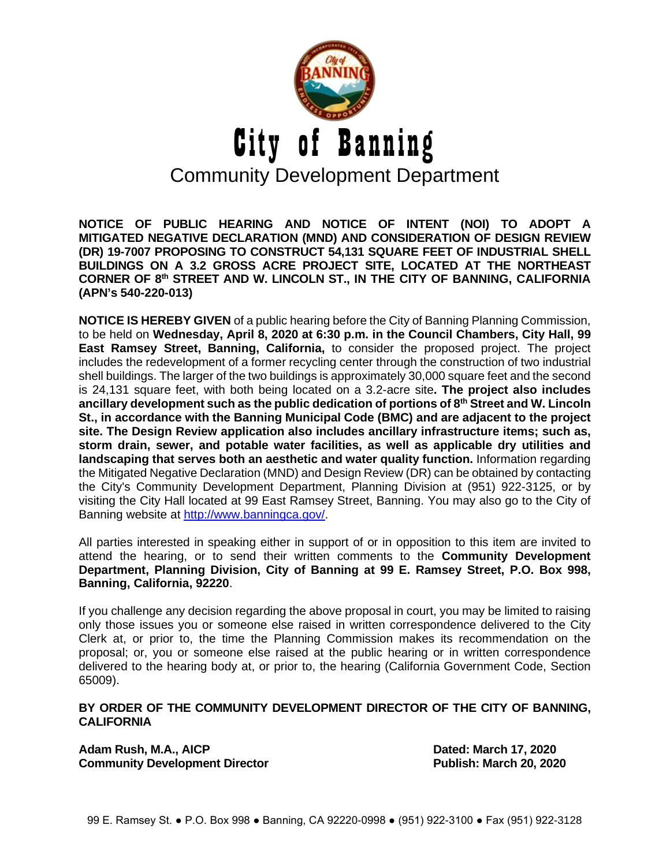

**NOTICE OF PUBLIC HEARING AND NOTICE OF INTENT (NOI) TO ADOPT A MITIGATED NEGATIVE DECLARATION (MND) AND CONSIDERATION OF DESIGN REVIEW (DR) 19-7007 PROPOSING TO CONSTRUCT 54,131 SQUARE FEET OF INDUSTRIAL SHELL BUILDINGS ON A 3.2 GROSS ACRE PROJECT SITE, LOCATED AT THE NORTHEAST CORNER OF 8th STREET AND W. LINCOLN ST., IN THE CITY OF BANNING, CALIFORNIA (APN's 540-220-013)**

**NOTICE IS HEREBY GIVEN** of a public hearing before the City of Banning Planning Commission, to be held on **Wednesday, April 8, 2020 at 6:30 p.m. in the Council Chambers, City Hall, 99 East Ramsey Street, Banning, California,** to consider the proposed project. The project includes the redevelopment of a former recycling center through the construction of two industrial shell buildings. The larger of the two buildings is approximately 30,000 square feet and the second is 24,131 square feet, with both being located on a 3.2-acre site**. The project also includes ancillary development such as the public dedication of portions of 8th Street and W. Lincoln St., in accordance with the Banning Municipal Code (BMC) and are adjacent to the project site. The Design Review application also includes ancillary infrastructure items; such as, storm drain, sewer, and potable water facilities, as well as applicable dry utilities and landscaping that serves both an aesthetic and water quality function.** Information regarding the Mitigated Negative Declaration (MND) and Design Review (DR) can be obtained by contacting the City's Community Development Department, Planning Division at (951) 922-3125, or by visiting the City Hall located at 99 East Ramsey Street, Banning. You may also go to the City of Banning website at [http://www.banningca.gov/.](http://www.banningca.gov/)

All parties interested in speaking either in support of or in opposition to this item are invited to attend the hearing, or to send their written comments to the **Community Development Department, Planning Division, City of Banning at 99 E. Ramsey Street, P.O. Box 998, Banning, California, 92220**.

If you challenge any decision regarding the above proposal in court, you may be limited to raising only those issues you or someone else raised in written correspondence delivered to the City Clerk at, or prior to, the time the Planning Commission makes its recommendation on the proposal; or, you or someone else raised at the public hearing or in written correspondence delivered to the hearing body at, or prior to, the hearing (California Government Code, Section 65009).

## **BY ORDER OF THE COMMUNITY DEVELOPMENT DIRECTOR OF THE CITY OF BANNING, CALIFORNIA**

Adam Rush, M.A., AICP **Dated: March 17, 2020 Community Development Director Community Development Director Community Publish: March 20, 2020**